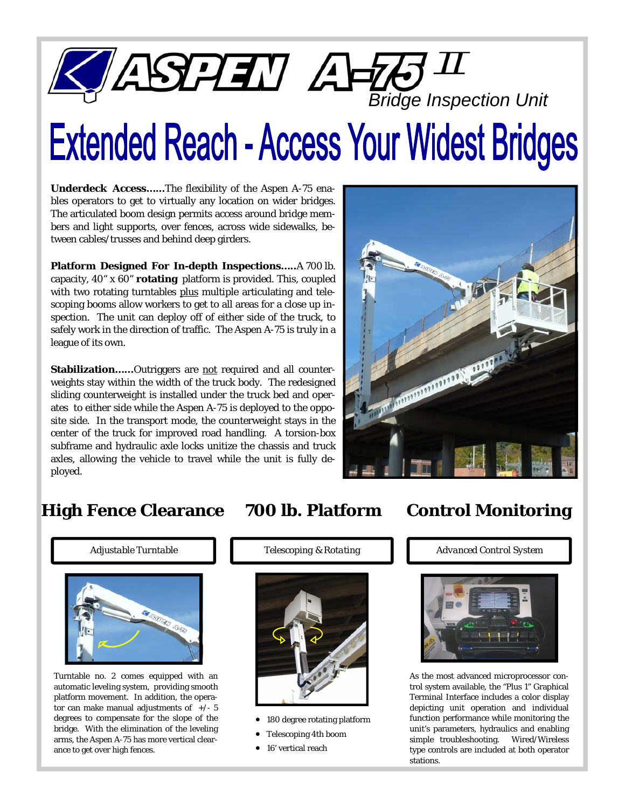

# **Extended Reach - Access Your Widest Bridges**

**Underdeck Access…...**The flexibility of the Aspen A-75 enables operators to get to virtually any location on wider bridges. The articulated boom design permits access around bridge members and light supports, over fences, across wide sidewalks, between cables/trusses and behind deep girders.

**Platform Designed For In-depth Inspections…..**A 700 lb. capacity, 40" x 60" **rotating** platform is provided. This, coupled with two rotating turntables plus multiple articulating and telescoping booms allow workers to get to all areas for a close up inspection. The unit can deploy off of either side of the truck, to safely work in the direction of traffic. The Aspen A-75 is truly in a league of its own.

Stabilization......Outriggers are not required and all counterweights stay within the width of the truck body. The redesigned sliding counterweight is installed under the truck bed and operates to either side while the Aspen A-75 is deployed to the opposite side. In the transport mode, the counterweight stays in the center of the truck for improved road handling. A torsion-box subframe and hydraulic axle locks unitize the chassis and truck axles, allowing the vehicle to travel while the unit is fully deployed.



## **High Fence Clearance 700 lb. Platform Control Monitoring**



Turntable no. 2 comes equipped with an automatic leveling system, providing smooth platform movement. In addition, the operator can make manual adjustments of  $+/- 5$ degrees to compensate for the slope of the bridge. With the elimination of the leveling arms, the Aspen A-75 has more vertical clearance to get over high fences.

### *Adjustable Turntable Telescoping & Rotating Advanced Control System*



- 180 degree rotating platform
- Telescoping 4th boom
- 16' vertical reach



As the most advanced microprocessor control system available, the "Plus 1" Graphical Terminal Interface includes a color display depicting unit operation and individual function performance while monitoring the unit's parameters, hydraulics and enabling simple troubleshooting. Wired/Wireless type controls are included at both operator stations.